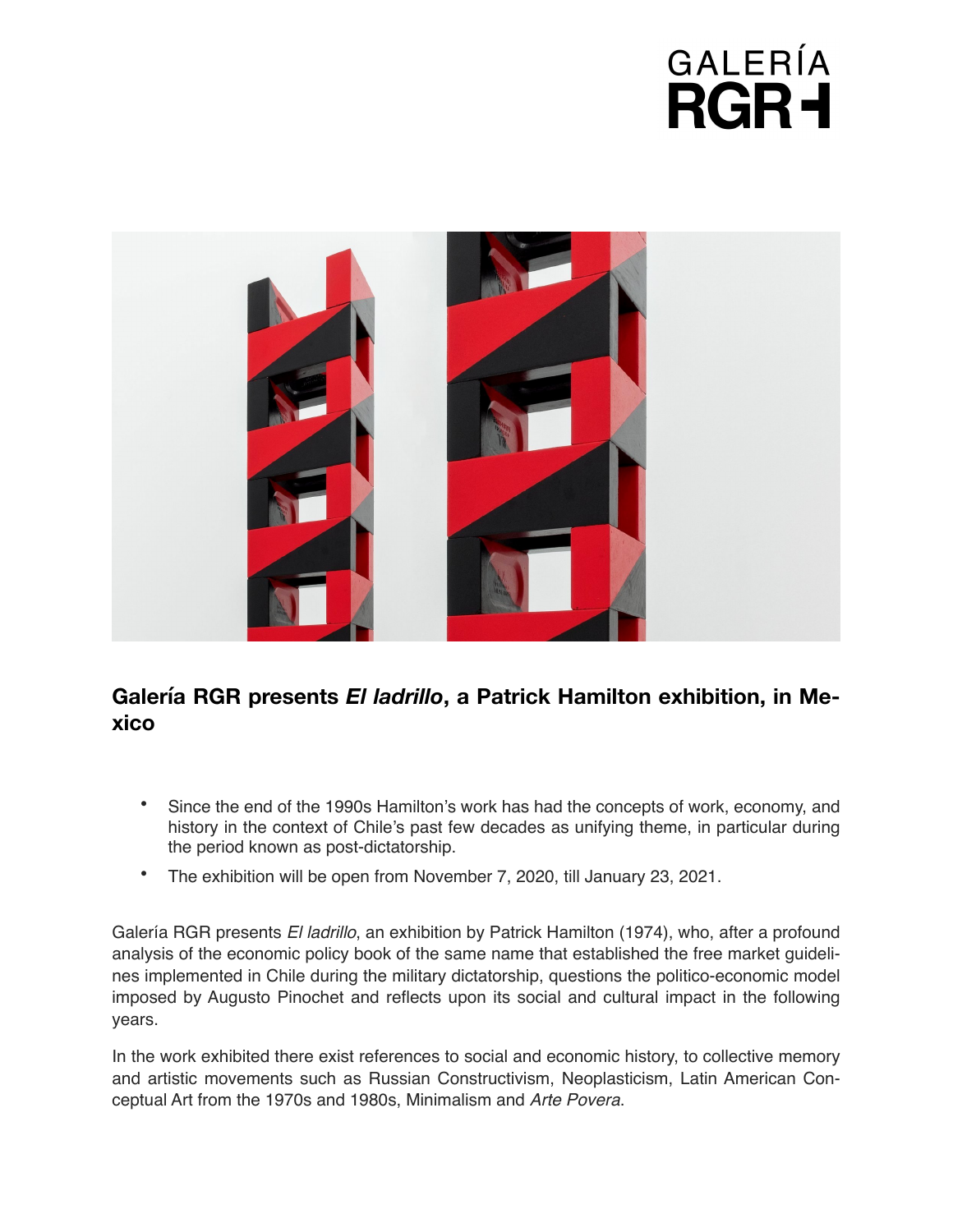## GALERÍA **RGR+**



## **Galería RGR presents** *El ladrillo***, a Patrick Hamilton exhibition, in Mexico**

- Since the end of the 1990s Hamilton's work has had the concepts of work, economy, and history in the context of Chile's past few decades as unifying theme, in particular during the period known as post-dictatorship.
- The exhibition will be open from November 7, 2020, till January 23, 2021.

Galería RGR presents *El ladrillo*, an exhibition by Patrick Hamilton (1974), who, after a profound analysis of the economic policy book of the same name that established the free market guidelines implemented in Chile during the military dictatorship, questions the politico-economic model imposed by Augusto Pinochet and reflects upon its social and cultural impact in the following years.

In the work exhibited there exist references to social and economic history, to collective memory and artistic movements such as Russian Constructivism, Neoplasticism, Latin American Conceptual Art from the 1970s and 1980s, Minimalism and *Arte Povera*.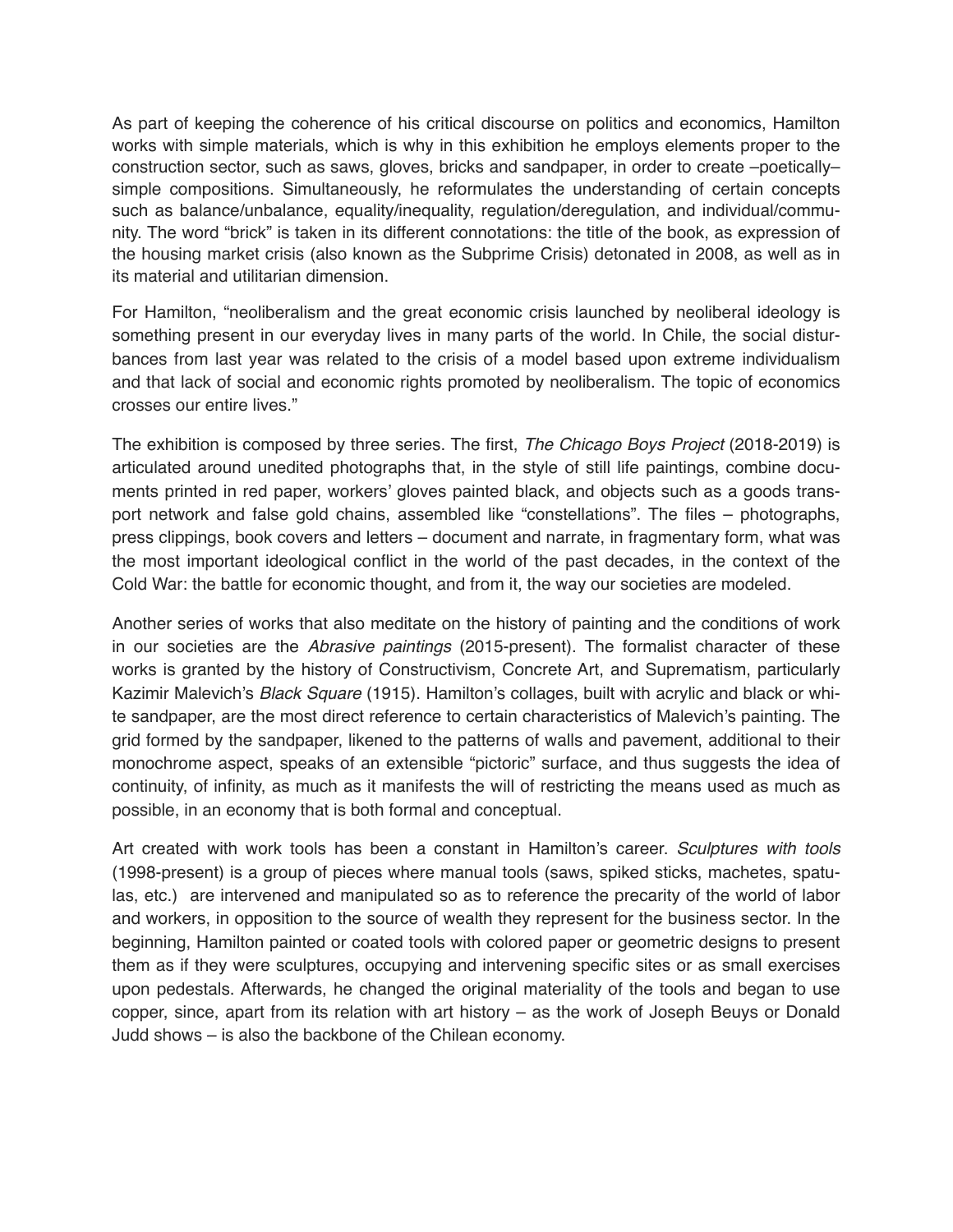As part of keeping the coherence of his critical discourse on politics and economics, Hamilton works with simple materials, which is why in this exhibition he employs elements proper to the construction sector, such as saws, gloves, bricks and sandpaper, in order to create –poetically– simple compositions. Simultaneously, he reformulates the understanding of certain concepts such as balance/unbalance, equality/inequality, regulation/deregulation, and individual/community. The word "brick" is taken in its different connotations: the title of the book, as expression of the housing market crisis (also known as the Subprime Crisis) detonated in 2008, as well as in its material and utilitarian dimension.

For Hamilton, "neoliberalism and the great economic crisis launched by neoliberal ideology is something present in our everyday lives in many parts of the world. In Chile, the social disturbances from last year was related to the crisis of a model based upon extreme individualism and that lack of social and economic rights promoted by neoliberalism. The topic of economics crosses our entire lives."

The exhibition is composed by three series. The first, *The Chicago Boys Project* (2018-2019) is articulated around unedited photographs that, in the style of still life paintings, combine documents printed in red paper, workers' gloves painted black, and objects such as a goods transport network and false gold chains, assembled like "constellations". The files – photographs, press clippings, book covers and letters – document and narrate, in fragmentary form, what was the most important ideological conflict in the world of the past decades, in the context of the Cold War: the battle for economic thought, and from it, the way our societies are modeled.

Another series of works that also meditate on the history of painting and the conditions of work in our societies are the *Abrasive paintings* (2015-present). The formalist character of these works is granted by the history of Constructivism, Concrete Art, and Suprematism, particularly Kazimir Malevich's *Black Square* (1915). Hamilton's collages, built with acrylic and black or white sandpaper, are the most direct reference to certain characteristics of Malevich's painting. The grid formed by the sandpaper, likened to the patterns of walls and pavement, additional to their monochrome aspect, speaks of an extensible "pictoric" surface, and thus suggests the idea of continuity, of infinity, as much as it manifests the will of restricting the means used as much as possible, in an economy that is both formal and conceptual.

Art created with work tools has been a constant in Hamilton's career. *Sculptures with tools*  (1998-present) is a group of pieces where manual tools (saws, spiked sticks, machetes, spatulas, etc.) are intervened and manipulated so as to reference the precarity of the world of labor and workers, in opposition to the source of wealth they represent for the business sector. In the beginning, Hamilton painted or coated tools with colored paper or geometric designs to present them as if they were sculptures, occupying and intervening specific sites or as small exercises upon pedestals. Afterwards, he changed the original materiality of the tools and began to use copper, since, apart from its relation with art history – as the work of Joseph Beuys or Donald Judd shows – is also the backbone of the Chilean economy.